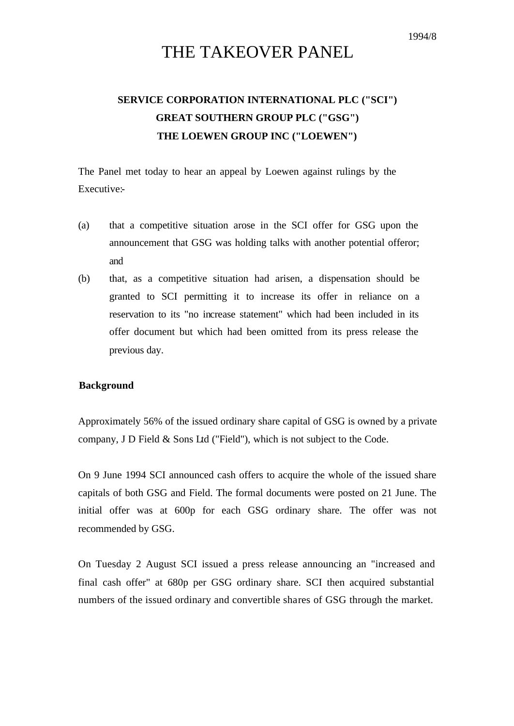# THE TAKEOVER PANEL

# **SERVICE CORPORATION INTERNATIONAL PLC ("SCI") GREAT SOUTHERN GROUP PLC ("GSG") THE LOEWEN GROUP INC ("LOEWEN")**

The Panel met today to hear an appeal by Loewen against rulings by the Executive:-

- (a) that a competitive situation arose in the SCI offer for GSG upon the announcement that GSG was holding talks with another potential offeror; and
- (b) that, as a competitive situation had arisen, a dispensation should be granted to SCI permitting it to increase its offer in reliance on a reservation to its "no increase statement" which had been included in its offer document but which had been omitted from its press release the previous day.

### **Background**

Approximately 56% of the issued ordinary share capital of GSG is owned by a private company, J D Field & Sons Ltd ("Field"), which is not subject to the Code.

On 9 June 1994 SCI announced cash offers to acquire the whole of the issued share capitals of both GSG and Field. The formal documents were posted on 21 June. The initial offer was at 600p for each GSG ordinary share. The offer was not recommended by GSG.

On Tuesday 2 August SCI issued a press release announcing an "increased and final cash offer" at 680p per GSG ordinary share. SCI then acquired substantial numbers of the issued ordinary and convertible shares of GSG through the market.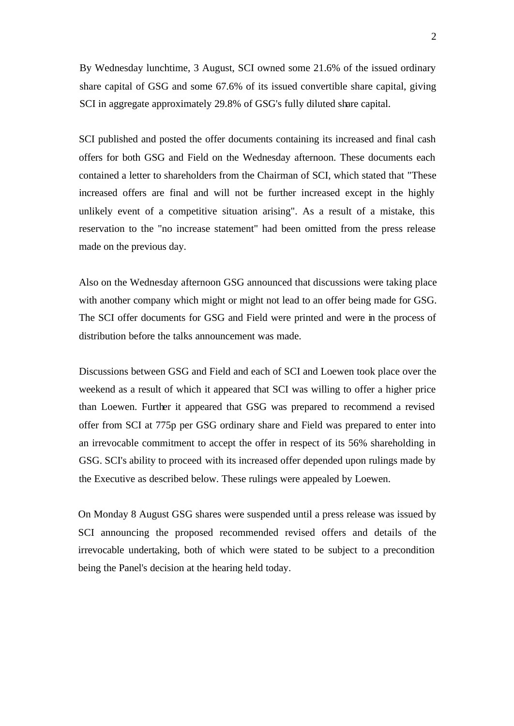By Wednesday lunchtime, 3 August, SCI owned some 21.6% of the issued ordinary share capital of GSG and some 67.6% of its issued convertible share capital, giving SCI in aggregate approximately 29.8% of GSG's fully diluted share capital.

SCI published and posted the offer documents containing its increased and final cash offers for both GSG and Field on the Wednesday afternoon. These documents each contained a letter to shareholders from the Chairman of SCI, which stated that "These increased offers are final and will not be further increased except in the highly unlikely event of a competitive situation arising". As a result of a mistake, this reservation to the "no increase statement" had been omitted from the press release made on the previous day.

Also on the Wednesday afternoon GSG announced that discussions were taking place with another company which might or might not lead to an offer being made for GSG. The SCI offer documents for GSG and Field were printed and were in the process of distribution before the talks announcement was made.

Discussions between GSG and Field and each of SCI and Loewen took place over the weekend as a result of which it appeared that SCI was willing to offer a higher price than Loewen. Further it appeared that GSG was prepared to recommend a revised offer from SCI at 775p per GSG ordinary share and Field was prepared to enter into an irrevocable commitment to accept the offer in respect of its 56% shareholding in GSG. SCI's ability to proceed with its increased offer depended upon rulings made by the Executive as described below. These rulings were appealed by Loewen.

On Monday 8 August GSG shares were suspended until a press release was issued by SCI announcing the proposed recommended revised offers and details of the irrevocable undertaking, both of which were stated to be subject to a precondition being the Panel's decision at the hearing held today.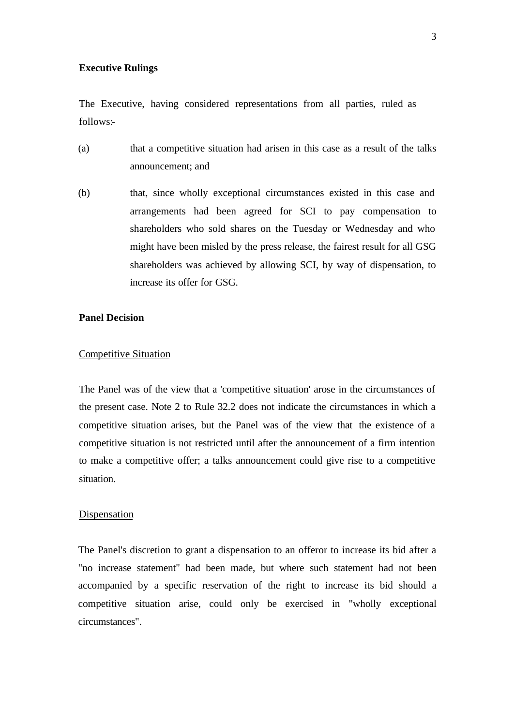### **Executive Rulings**

The Executive, having considered representations from all parties, ruled as follows:-

- (a) that a competitive situation had arisen in this case as a result of the talks announcement; and
- (b) that, since wholly exceptional circumstances existed in this case and arrangements had been agreed for SCI to pay compensation to shareholders who sold shares on the Tuesday or Wednesday and who might have been misled by the press release, the fairest result for all GSG shareholders was achieved by allowing SCI, by way of dispensation, to increase its offer for GSG.

## **Panel Decision**

## Competitive Situation

The Panel was of the view that a 'competitive situation' arose in the circumstances of the present case. Note 2 to Rule 32.2 does not indicate the circumstances in which a competitive situation arises, but the Panel was of the view that the existence of a competitive situation is not restricted until after the announcement of a firm intention to make a competitive offer; a talks announcement could give rise to a competitive situation.

### Dispensation

The Panel's discretion to grant a dispensation to an offeror to increase its bid after a "no increase statement" had been made, but where such statement had not been accompanied by a specific reservation of the right to increase its bid should a competitive situation arise, could only be exercised in "wholly exceptional circumstances".